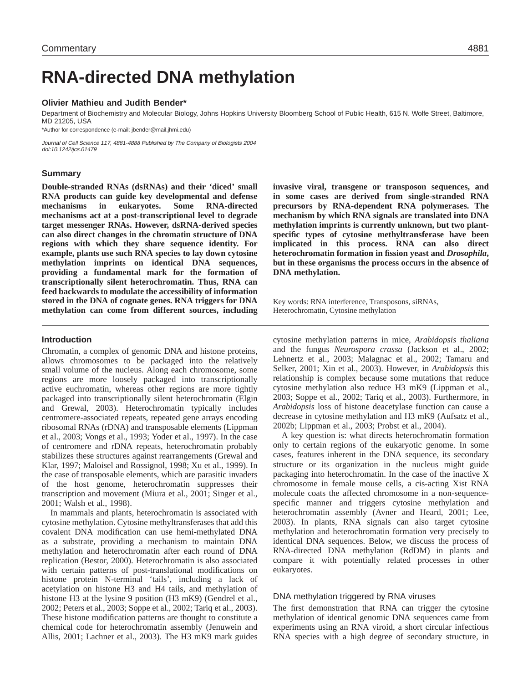# **RNA-directed DNA methylation**

### **Olivier Mathieu and Judith Bender\***

Department of Biochemistry and Molecular Biology, Johns Hopkins University Bloomberg School of Public Health, 615 N. Wolfe Street, Baltimore, MD 21205, USA

\*Author for correspondence (e-mail: jbender@mail.jhmi.edu)

Journal of Cell Science 117, 4881-4888 Published by The Company of Biologists 2004 doi:10.1242/jcs.01479

## **Summary**

**Double-stranded RNAs (dsRNAs) and their 'diced' small RNA products can guide key developmental and defense mechanisms in eukaryotes. Some RNA-directed mechanisms act at a post-transcriptional level to degrade target messenger RNAs. However, dsRNA-derived species can also direct changes in the chromatin structure of DNA regions with which they share sequence identity. For example, plants use such RNA species to lay down cytosine methylation imprints on identical DNA sequences, providing a fundamental mark for the formation of transcriptionally silent heterochromatin. Thus, RNA can feed backwards to modulate the accessibility of information stored in the DNA of cognate genes. RNA triggers for DNA methylation can come from different sources, including**

### **Introduction**

Chromatin, a complex of genomic DNA and histone proteins, allows chromosomes to be packaged into the relatively small volume of the nucleus. Along each chromosome, some regions are more loosely packaged into transcriptionally active euchromatin, whereas other regions are more tightly packaged into transcriptionally silent heterochromatin (Elgin and Grewal, 2003). Heterochromatin typically includes centromere-associated repeats, repeated gene arrays encoding ribosomal RNAs (rDNA) and transposable elements (Lippman et al., 2003; Vongs et al., 1993; Yoder et al., 1997). In the case of centromere and rDNA repeats, heterochromatin probably stabilizes these structures against rearrangements (Grewal and Klar, 1997; Maloisel and Rossignol, 1998; Xu et al., 1999). In the case of transposable elements, which are parasitic invaders of the host genome, heterochromatin suppresses their transcription and movement (Miura et al., 2001; Singer et al., 2001; Walsh et al., 1998).

In mammals and plants, heterochromatin is associated with cytosine methylation. Cytosine methyltransferases that add this covalent DNA modification can use hemi-methylated DNA as a substrate, providing a mechanism to maintain DNA methylation and heterochromatin after each round of DNA replication (Bestor, 2000). Heterochromatin is also associated with certain patterns of post-translational modifications on histone protein N-terminal 'tails', including a lack of acetylation on histone H3 and H4 tails, and methylation of histone H3 at the lysine 9 position (H3 mK9) (Gendrel et al., 2002; Peters et al., 2003; Soppe et al., 2002; Tariq et al., 2003). These histone modification patterns are thought to constitute a chemical code for heterochromatin assembly (Jenuwein and Allis, 2001; Lachner et al., 2003). The H3 mK9 mark guides **invasive viral, transgene or transposon sequences, and in some cases are derived from single-stranded RNA precursors by RNA-dependent RNA polymerases. The mechanism by which RNA signals are translated into DNA methylation imprints is currently unknown, but two plantspecific types of cytosine methyltransferase have been implicated in this process. RNA can also direct heterochromatin formation in fission yeast and** *Drosophila***, but in these organisms the process occurs in the absence of DNA methylation.**

Key words: RNA interference, Transposons, siRNAs, Heterochromatin, Cytosine methylation

cytosine methylation patterns in mice, *Arabidopsis thaliana* and the fungus *Neurospora crassa* (Jackson et al., 2002; Lehnertz et al., 2003; Malagnac et al., 2002; Tamaru and Selker, 2001; Xin et al., 2003). However, in *Arabidopsis* this relationship is complex because some mutations that reduce cytosine methylation also reduce H3 mK9 (Lippman et al., 2003; Soppe et al., 2002; Tariq et al., 2003). Furthermore, in *Arabidopsis* loss of histone deacetylase function can cause a decrease in cytosine methylation and H3 mK9 (Aufsatz et al., 2002b; Lippman et al., 2003; Probst et al., 2004).

A key question is: what directs heterochromatin formation only to certain regions of the eukaryotic genome. In some cases, features inherent in the DNA sequence, its secondary structure or its organization in the nucleus might guide packaging into heterochromatin. In the case of the inactive X chromosome in female mouse cells, a cis-acting Xist RNA molecule coats the affected chromosome in a non-sequencespecific manner and triggers cytosine methylation and heterochromatin assembly (Avner and Heard, 2001; Lee, 2003). In plants, RNA signals can also target cytosine methylation and heterochromatin formation very precisely to identical DNA sequences. Below, we discuss the process of RNA-directed DNA methylation (RdDM) in plants and compare it with potentially related processes in other eukaryotes.

# DNA methylation triggered by RNA viruses

The first demonstration that RNA can trigger the cytosine methylation of identical genomic DNA sequences came from experiments using an RNA viroid, a short circular infectious RNA species with a high degree of secondary structure, in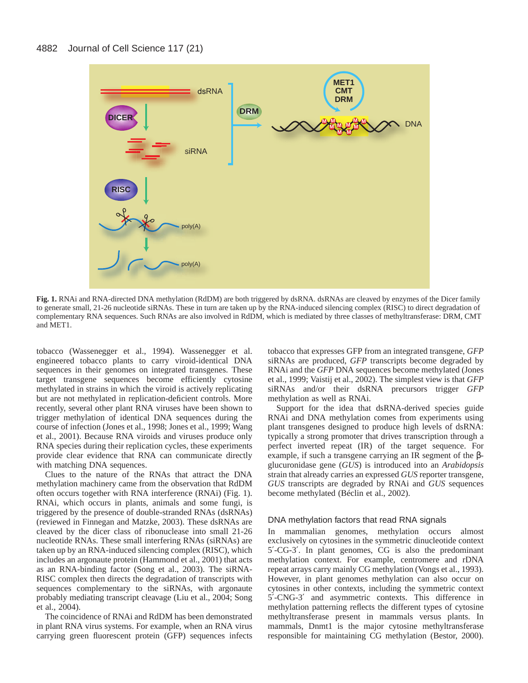

**Fig. 1.** RNAi and RNA-directed DNA methylation (RdDM) are both triggered by dsRNA. dsRNAs are cleaved by enzymes of the Dicer family to generate small, 21-26 nucleotide siRNAs. These in turn are taken up by the RNA-induced silencing complex (RISC) to direct degradation of complementary RNA sequences. Such RNAs are also involved in RdDM, which is mediated by three classes of methyltransferase: DRM, CMT and MET1.

tobacco (Wassenegger et al., 1994). Wassenegger et al. engineered tobacco plants to carry viroid-identical DNA sequences in their genomes on integrated transgenes. These target transgene sequences become efficiently cytosine methylated in strains in which the viroid is actively replicating but are not methylated in replication-deficient controls. More recently, several other plant RNA viruses have been shown to trigger methylation of identical DNA sequences during the course of infection (Jones et al., 1998; Jones et al., 1999; Wang et al., 2001). Because RNA viroids and viruses produce only RNA species during their replication cycles, these experiments provide clear evidence that RNA can communicate directly with matching DNA sequences.

Clues to the nature of the RNAs that attract the DNA methylation machinery came from the observation that RdDM often occurs together with RNA interference (RNAi) (Fig. 1). RNAi, which occurs in plants, animals and some fungi, is triggered by the presence of double-stranded RNAs (dsRNAs) (reviewed in Finnegan and Matzke, 2003). These dsRNAs are cleaved by the dicer class of ribonuclease into small 21-26 nucleotide RNAs. These small interfering RNAs (siRNAs) are taken up by an RNA-induced silencing complex (RISC), which includes an argonaute protein (Hammond et al., 2001) that acts as an RNA-binding factor (Song et al., 2003). The siRNA-RISC complex then directs the degradation of transcripts with sequences complementary to the siRNAs, with argonaute probably mediating transcript cleavage (Liu et al., 2004; Song et al., 2004).

The coincidence of RNAi and RdDM has been demonstrated in plant RNA virus systems. For example, when an RNA virus carrying green fluorescent protein (GFP) sequences infects tobacco that expresses GFP from an integrated transgene, *GFP* siRNAs are produced, *GFP* transcripts become degraded by RNAi and the *GFP* DNA sequences become methylated (Jones et al., 1999; Vaistij et al., 2002). The simplest view is that *GFP* siRNAs and/or their dsRNA precursors trigger *GFP* methylation as well as RNAi.

Support for the idea that dsRNA-derived species guide RNAi and DNA methylation comes from experiments using plant transgenes designed to produce high levels of dsRNA: typically a strong promoter that drives transcription through a perfect inverted repeat (IR) of the target sequence. For example, if such a transgene carrying an IR segment of the βglucuronidase gene (*GUS*) is introduced into an *Arabidopsis* strain that already carries an expressed *GUS* reporter transgene, *GUS* transcripts are degraded by RNAi and *GUS* sequences become methylated (Béclin et al., 2002).

# DNA methylation factors that read RNA signals

In mammalian genomes, methylation occurs almost exclusively on cytosines in the symmetric dinucleotide context 5′-CG-3′. In plant genomes, CG is also the predominant methylation context. For example, centromere and rDNA repeat arrays carry mainly CG methylation (Vongs et al., 1993). However, in plant genomes methylation can also occur on cytosines in other contexts, including the symmetric context 5′-CNG-3′ and asymmetric contexts. This difference in methylation patterning reflects the different types of cytosine methyltransferase present in mammals versus plants. In mammals, Dnmt1 is the major cytosine methyltransferase responsible for maintaining CG methylation (Bestor, 2000).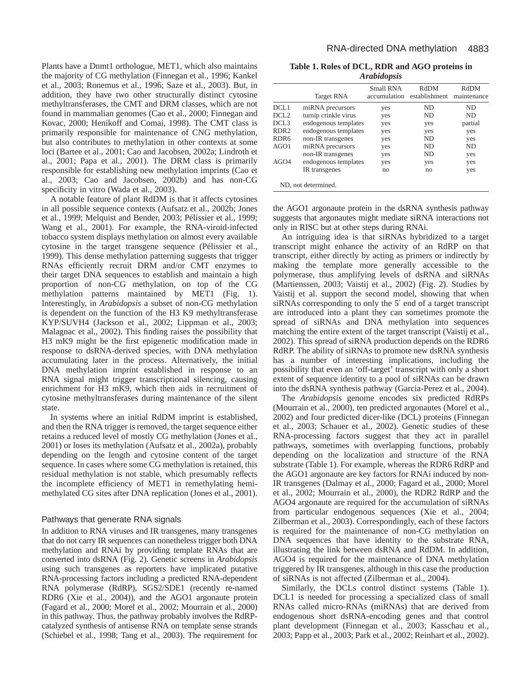Plants have a Dnmt1 orthologue, MET1, which also maintains the majority of CG methylation (Finnegan et al., 1996; Kankel et al., 2003; Ronemus et al., 1996; Saze et al., 2003). But, in addition, they have two other structurally distinct cytosine methyltransferases, the CMT and DRM classes, which are not found in mammalian genomes (Cao et al., 2000; Finnegan and Kovac, 2000; Henikoff and Comai, 1998). The CMT class is primarily responsible for maintenance of CNG methylation, but also contributes to methylation in other contexts at some loci (Bartee et al., 2001; Cao and Jacobsen, 2002a; Lindroth et al., 2001; Papa et al., 2001). The DRM class is primarily responsible for establishing new methylation imprints (Cao et al., 2003; Cao and Jacobsen, 2002b) and has non-CG specificity in vitro (Wada et al., 2003).

A notable feature of plant RdDM is that it affects cytosines in all possible sequence contexts (Aufsatz et al., 2002b; Jones et al., 1999; Melquist and Bender, 2003; Pélissier et al., 1999; Wang et al., 2001). For example, the RNA-viroid-infected tobacco system displays methylation on almost every available cytosine in the target transgene sequence (Pélissier et al., 1999). This dense methylation patterning suggests that trigger RNAs efficiently recruit DRM and/or CMT enzymes to their target DNA sequences to establish and maintain a high proportion of non-CG methylation, on top of the CG methylation patterns maintained by MET1 (Fig. 1). Interestingly, in *Arabidopsis* a subset of non-CG methylation is dependent on the function of the H3 K9 methyltransferase KYP/SUVH4 (Jackson et al., 2002; Lippman et al., 2003; Malagnac et al., 2002). This finding raises the possibility that H3 mK9 might be the first epigenetic modification made in response to dsRNA-derived species, with DNA methylation accumulating later in the process. Alternatively, the initial DNA methylation imprint established in response to an RNA signal might trigger transcriptional silencing, causing enrichment for H3 mK9, which then aids in recruitment of cytosine methyltransferases during maintenance of the silent state.

In systems where an initial RdDM imprint is established, and then the RNA trigger is removed, the target sequence either retains a reduced level of mostly CG methylation (Jones et al., 2001) or loses its methylation (Aufsatz et al., 2002a), probably depending on the length and cytosine content of the target sequence. In cases where some CG methylation is retained, this residual methylation is not stable, which presumably reflects the incomplete efficiency of MET1 in remethylating hemimethylated CG sites after DNA replication (Jones et al., 2001).

# Pathways that generate RNA signals

In addition to RNA viruses and IR transgenes, many transgenes that do not carry IR sequences can nonetheless trigger both DNA methylation and RNAi by providing template RNAs that are converted into dsRNA (Fig. 2). Genetic screens in *Arabidopsis* using such transgenes as reporters have implicated putative RNA-processing factors including a predicted RNA-dependent RNA polymerase (RdRP), SGS2/SDE1 (recently re-named RDR6 (Xie et al., 2004)), and the AGO1 argonaute protein (Fagard et al., 2000; Morel et al., 2002; Mourrain et al., 2000) in this pathway. Thus, the pathway probably involves the RdRPcatalyzed synthesis of antisense RNA on template sense strands (Schiebel et al., 1998; Tang et al., 2003). The requirement for

**Table 1. Roles of DCL, RDR and AGO proteins in** *Arabidopsis*

|                  | <b>Target RNA</b>    | Small RNA<br>accumulation | RdDM<br>establishment | RdDM<br>maintenance |
|------------------|----------------------|---------------------------|-----------------------|---------------------|
| DCL1             | miRNA precursors     | yes                       | ND.                   | ND.                 |
| DCL <sub>2</sub> | turnip crinkle virus | yes                       | ND.                   | ND.                 |
| DCL <sub>3</sub> | endogenous templates | yes                       | yes                   | partial             |
| RDR <sub>2</sub> | endogenous templates | yes                       | yes                   | yes                 |
| RDR <sub>6</sub> | non-IR transgenes    | yes                       | ND.                   | yes                 |
| AGO1             | miRNA precursors     | yes                       | ND                    | ND                  |
|                  | non-IR transgenes    | yes                       | ND                    | yes                 |
| AGO4             | endogenous templates | yes                       | yes                   | yes                 |
|                  | IR transgenes        | no                        | no                    | yes                 |

the AGO1 argonaute protein in the dsRNA synthesis pathway suggests that argonautes might mediate siRNA interactions not only in RISC but at other steps during RNAi.

An intriguing idea is that siRNAs hybridized to a target transcript might enhance the activity of an RdRP on that transcript, either directly by acting as primers or indirectly by making the template more generally accessible to the polymerase, thus amplifying levels of dsRNA and siRNAs (Martienssen, 2003; Vaistij et al., 2002) (Fig. 2). Studies by Vaistij et al. support the second model, showing that when siRNAs corresponding to only the 5′ end of a target transcript are introduced into a plant they can sometimes promote the spread of siRNAs and DNA methylation into sequences matching the entire extent of the target transcript (Vaistij et al., 2002). This spread of siRNA production depends on the RDR6 RdRP. The ability of siRNAs to promote new dsRNA synthesis has a number of interesting implications, including the possibility that even an 'off-target' transcript with only a short extent of sequence identity to a pool of siRNAs can be drawn into the dsRNA synthesis pathway (Garcia-Perez et al., 2004).

The *Arabidopsis* genome encodes six predicted RdRPs (Mourrain et al., 2000), ten predicted argonautes (Morel et al., 2002) and four predicted dicer-like (DCL) proteins (Finnegan et al., 2003; Schauer et al., 2002). Genetic studies of these RNA-processing factors suggest that they act in parallel pathways, sometimes with overlapping functions, probably depending on the localization and structure of the RNA substrate (Table 1). For example, whereas the RDR6 RdRP and the AGO1 argonaute are key factors for RNAi induced by non-IR transgenes (Dalmay et al., 2000; Fagard et al., 2000; Morel et al., 2002; Mourrain et al., 2000), the RDR2 RdRP and the AGO4 argonaute are required for the accumulation of siRNAs from particular endogenous sequences (Xie et al., 2004; Zilberman et al., 2003). Correspondingly, each of these factors is required for the maintenance of non-CG methylation on DNA sequences that have identity to the substrate RNA, illustrating the link between dsRNA and RdDM. In addition, AGO4 is required for the maintenance of DNA methylation triggered by IR transgenes, although in this case the production of siRNAs is not affected (Zilberman et al., 2004).

Similarly, the DCLs control distinct systems (Table 1). DCL1 is needed for processing a specialized class of small RNAs called micro-RNAs (miRNAs) that are derived from endogenous short dsRNA-encoding genes and that control plant development (Finnegan et al., 2003; Kasschau et al., 2003; Papp et al., 2003; Park et al., 2002; Reinhart et al., 2002).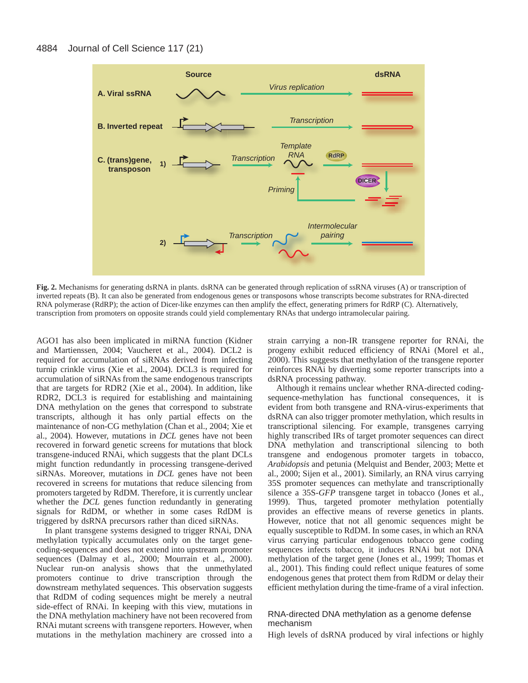#### 4884 Journal of Cell Science 117 (21)



**Fig. 2.** Mechanisms for generating dsRNA in plants. dsRNA can be generated through replication of ssRNA viruses (A) or transcription of inverted repeats (B). It can also be generated from endogenous genes or transposons whose transcripts become substrates for RNA-directed RNA polymerase (RdRP); the action of Dicer-like enzymes can then amplify the effect, generating primers for RdRP (C). Alternatively, transcription from promoters on opposite strands could yield complementary RNAs that undergo intramolecular pairing.

AGO1 has also been implicated in miRNA function (Kidner and Martienssen, 2004; Vaucheret et al., 2004). DCL2 is required for accumulation of siRNAs derived from infecting turnip crinkle virus (Xie et al., 2004). DCL3 is required for accumulation of siRNAs from the same endogenous transcripts that are targets for RDR2 (Xie et al., 2004). In addition, like RDR2, DCL3 is required for establishing and maintaining DNA methylation on the genes that correspond to substrate transcripts, although it has only partial effects on the maintenance of non-CG methylation (Chan et al., 2004; Xie et al., 2004). However, mutations in *DCL* genes have not been recovered in forward genetic screens for mutations that block transgene-induced RNAi, which suggests that the plant DCLs might function redundantly in processing transgene-derived siRNAs. Moreover, mutations in *DCL* genes have not been recovered in screens for mutations that reduce silencing from promoters targeted by RdDM. Therefore, it is currently unclear whether the *DCL* genes function redundantly in generating signals for RdDM, or whether in some cases RdDM is triggered by dsRNA precursors rather than diced siRNAs.

In plant transgene systems designed to trigger RNAi, DNA methylation typically accumulates only on the target genecoding-sequences and does not extend into upstream promoter sequences (Dalmay et al., 2000; Mourrain et al., 2000). Nuclear run-on analysis shows that the unmethylated promoters continue to drive transcription through the downstream methylated sequences. This observation suggests that RdDM of coding sequences might be merely a neutral side-effect of RNAi. In keeping with this view, mutations in the DNA methylation machinery have not been recovered from RNAi mutant screens with transgene reporters. However, when mutations in the methylation machinery are crossed into a strain carrying a non-IR transgene reporter for RNAi, the progeny exhibit reduced efficiency of RNAi (Morel et al., 2000). This suggests that methylation of the transgene reporter reinforces RNAi by diverting some reporter transcripts into a dsRNA processing pathway.

Although it remains unclear whether RNA-directed codingsequence-methylation has functional consequences, it is evident from both transgene and RNA-virus-experiments that dsRNA can also trigger promoter methylation, which results in transcriptional silencing. For example, transgenes carrying highly transcribed IRs of target promoter sequences can direct DNA methylation and transcriptional silencing to both transgene and endogenous promoter targets in tobacco, *Arabidopsis* and petunia (Melquist and Bender, 2003; Mette et al., 2000; Sijen et al., 2001). Similarly, an RNA virus carrying 35S promoter sequences can methylate and transcriptionally silence a 35S-*GFP* transgene target in tobacco (Jones et al., 1999). Thus, targeted promoter methylation potentially provides an effective means of reverse genetics in plants. However, notice that not all genomic sequences might be equally susceptible to RdDM. In some cases, in which an RNA virus carrying particular endogenous tobacco gene coding sequences infects tobacco, it induces RNAi but not DNA methylation of the target gene (Jones et al., 1999; Thomas et al., 2001). This finding could reflect unique features of some endogenous genes that protect them from RdDM or delay their efficient methylation during the time-frame of a viral infection.

# RNA-directed DNA methylation as a genome defense mechanism

High levels of dsRNA produced by viral infections or highly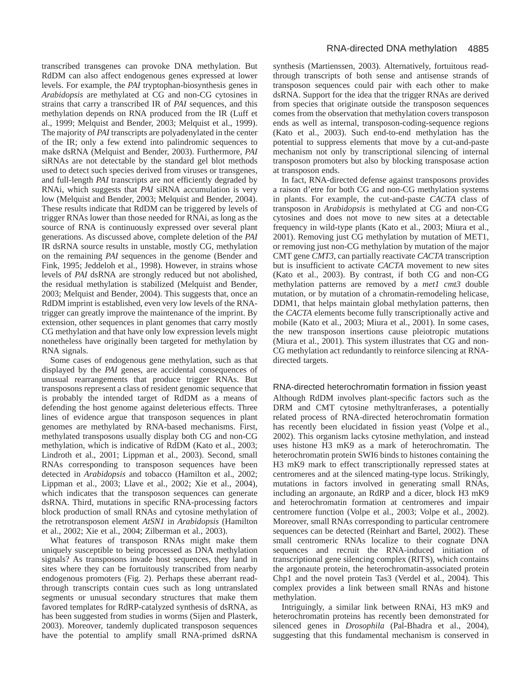transcribed transgenes can provoke DNA methylation. But RdDM can also affect endogenous genes expressed at lower levels. For example, the *PAI* tryptophan-biosynthesis genes in *Arabidopsis* are methylated at CG and non-CG cytosines in strains that carry a transcribed IR of *PAI* sequences, and this methylation depends on RNA produced from the IR (Luff et al., 1999; Melquist and Bender, 2003; Melquist et al., 1999). The majority of *PAI* transcripts are polyadenylated in the center of the IR; only a few extend into palindromic sequences to make dsRNA (Melquist and Bender, 2003). Furthermore, *PAI* siRNAs are not detectable by the standard gel blot methods used to detect such species derived from viruses or transgenes, and full-length *PAI* transcripts are not efficiently degraded by RNAi, which suggests that *PAI* siRNA accumulation is very low (Melquist and Bender, 2003; Melquist and Bender, 2004). These results indicate that RdDM can be triggered by levels of trigger RNAs lower than those needed for RNAi, as long as the source of RNA is continuously expressed over several plant generations. As discussed above, complete deletion of the *PAI* IR dsRNA source results in unstable, mostly CG, methylation on the remaining *PAI* sequences in the genome (Bender and Fink, 1995; Jeddeloh et al., 1998). However, in strains whose levels of *PAI* dsRNA are strongly reduced but not abolished, the residual methylation is stabilized (Melquist and Bender, 2003; Melquist and Bender, 2004). This suggests that, once an RdDM imprint is established, even very low levels of the RNAtrigger can greatly improve the maintenance of the imprint. By extension, other sequences in plant genomes that carry mostly CG methylation and that have only low expression levels might nonetheless have originally been targeted for methylation by RNA signals.

Some cases of endogenous gene methylation, such as that displayed by the *PAI* genes, are accidental consequences of unusual rearrangements that produce trigger RNAs. But transposons represent a class of resident genomic sequence that is probably the intended target of RdDM as a means of defending the host genome against deleterious effects. Three lines of evidence argue that transposon sequences in plant genomes are methylated by RNA-based mechanisms. First, methylated transposons usually display both CG and non-CG methylation, which is indicative of RdDM (Kato et al., 2003; Lindroth et al., 2001; Lippman et al., 2003). Second, small RNAs corresponding to transposon sequences have been detected in *Arabidopsis* and tobacco (Hamilton et al., 2002; Lippman et al., 2003; Llave et al., 2002; Xie et al., 2004), which indicates that the transposon sequences can generate dsRNA. Third, mutations in specific RNA-processing factors block production of small RNAs and cytosine methylation of the retrotransposon element *AtSN1* in *Arabidopsis* (Hamilton et al., 2002; Xie et al., 2004; Zilberman et al., 2003).

What features of transposon RNAs might make them uniquely susceptible to being processed as DNA methylation signals? As transposons invade host sequences, they land in sites where they can be fortuitously transcribed from nearby endogenous promoters (Fig. 2). Perhaps these aberrant readthrough transcripts contain cues such as long untranslated segments or unusual secondary structures that make them favored templates for RdRP-catalyzed synthesis of dsRNA, as has been suggested from studies in worms (Sijen and Plasterk, 2003). Moreover, tandemly duplicated transposon sequences have the potential to amplify small RNA-primed dsRNA synthesis (Martienssen, 2003). Alternatively, fortuitous readthrough transcripts of both sense and antisense strands of transposon sequences could pair with each other to make dsRNA. Support for the idea that the trigger RNAs are derived from species that originate outside the transposon sequences comes from the observation that methylation covers transposon ends as well as internal, transposon-coding-sequence regions (Kato et al., 2003). Such end-to-end methylation has the potential to suppress elements that move by a cut-and-paste mechanism not only by transcriptional silencing of internal transposon promoters but also by blocking transposase action at transposon ends.

In fact, RNA-directed defense against transposons provides a raison d'etre for both CG and non-CG methylation systems in plants. For example, the cut-and-paste *CACTA* class of transposon in *Arabidopsis* is methylated at CG and non-CG cytosines and does not move to new sites at a detectable frequency in wild-type plants (Kato et al., 2003; Miura et al., 2001). Removing just CG methylation by mutation of MET1, or removing just non-CG methylation by mutation of the major CMT gene *CMT3*, can partially reactivate *CACTA* transcription but is insufficient to activate *CACTA* movement to new sites (Kato et al., 2003). By contrast, if both CG and non-CG methylation patterns are removed by a *met1 cmt3* double mutation, or by mutation of a chromatin-remodeling helicase, DDM1, that helps maintain global methylation patterns, then the *CACTA* elements become fully transcriptionally active and mobile (Kato et al., 2003; Miura et al., 2001). In some cases, the new transposon insertions cause pleiotropic mutations (Miura et al., 2001). This system illustrates that CG and non-CG methylation act redundantly to reinforce silencing at RNAdirected targets.

RNA-directed heterochromatin formation in fission yeast Although RdDM involves plant-specific factors such as the DRM and CMT cytosine methyltranferases, a potentially related process of RNA-directed heterochromatin formation has recently been elucidated in fission yeast (Volpe et al., 2002). This organism lacks cytosine methylation, and instead uses histone H3 mK9 as a mark of heterochromatin. The heterochromatin protein SWI6 binds to histones containing the H3 mK9 mark to effect transcriptionally repressed states at centromeres and at the silenced mating-type locus. Strikingly, mutations in factors involved in generating small RNAs, including an argonaute, an RdRP and a dicer, block H3 mK9 and heterochromatin formation at centromeres and impair centromere function (Volpe et al., 2003; Volpe et al., 2002). Moreover, small RNAs corresponding to particular centromere sequences can be detected (Reinhart and Bartel, 2002). These small centromeric RNAs localize to their cognate DNA sequences and recruit the RNA-induced initiation of transcriptional gene silencing complex (RITS), which contains the argonaute protein, the heterochromatin-associated protein Chp1 and the novel protein Tas3 (Verdel et al., 2004). This complex provides a link between small RNAs and histone methylation.

Intriguingly, a similar link between RNAi, H3 mK9 and heterochromatin proteins has recently been demonstrated for silenced genes in *Drosophila* (Pal-Bhadra et al., 2004), suggesting that this fundamental mechanism is conserved in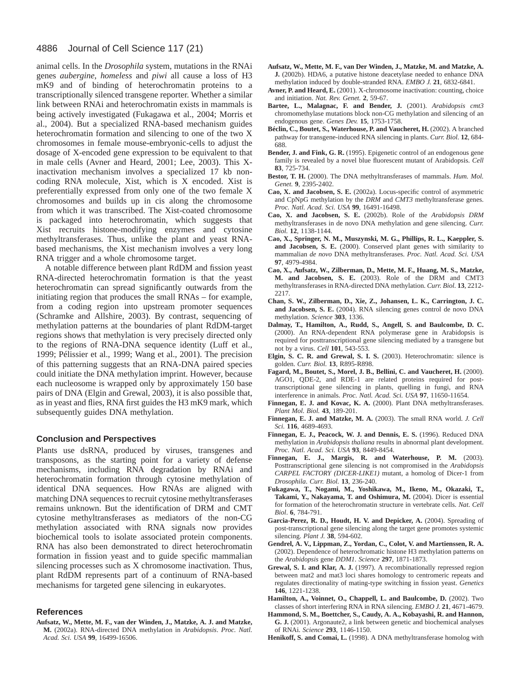#### 4886 Journal of Cell Science 117 (21)

animal cells. In the *Drosophila* system, mutations in the RNAi genes *aubergine*, *homeless* and *piwi* all cause a loss of H3 mK9 and of binding of heterochromatin proteins to a transcriptionally silenced transgene reporter. Whether a similar link between RNAi and heterochromatin exists in mammals is being actively investigated (Fukagawa et al., 2004; Morris et al., 2004). But a specialized RNA-based mechanism guides heterochromatin formation and silencing to one of the two X chromosomes in female mouse-embryonic-cells to adjust the dosage of X-encoded gene expression to be equivalent to that in male cells (Avner and Heard, 2001; Lee, 2003). This Xinactivation mechanism involves a specialized 17 kb noncoding RNA molecule, Xist, which is X encoded. Xist is preferentially expressed from only one of the two female X chromosomes and builds up in cis along the chromosome from which it was transcribed. The Xist-coated chromosome is packaged into heterochromatin, which suggests that Xist recruits histone-modifying enzymes and cytosine methyltransferases. Thus, unlike the plant and yeast RNAbased mechanisms, the Xist mechanism involves a very long RNA trigger and a whole chromosome target.

A notable difference between plant RdDM and fission yeast RNA-directed heterochromatin formation is that the yeast heterochromatin can spread significantly outwards from the initiating region that produces the small RNAs – for example, from a coding region into upstream promoter sequences (Schramke and Allshire, 2003). By contrast, sequencing of methylation patterns at the boundaries of plant RdDM-target regions shows that methylation is very precisely directed only to the regions of RNA-DNA sequence identity (Luff et al., 1999; Pélissier et al., 1999; Wang et al., 2001). The precision of this patterning suggests that an RNA-DNA paired species could initiate the DNA methylation imprint. However, because each nucleosome is wrapped only by approximately 150 base pairs of DNA (Elgin and Grewal, 2003), it is also possible that, as in yeast and flies, RNA first guides the H3 mK9 mark, which subsequently guides DNA methylation.

#### **Conclusion and Perspectives**

Plants use dsRNA, produced by viruses, transgenes and transposons, as the starting point for a variety of defense mechanisms, including RNA degradation by RNAi and heterochromatin formation through cytosine methylation of identical DNA sequences. How RNAs are aligned with matching DNA sequences to recruit cytosine methyltransferases remains unknown. But the identification of DRM and CMT cytosine methyltransferases as mediators of the non-CG methylation associated with RNA signals now provides biochemical tools to isolate associated protein components. RNA has also been demonstrated to direct heterochromatin formation in fission yeast and to guide specific mammalian silencing processes such as X chromosome inactivation. Thus, plant RdDM represents part of a continuum of RNA-based mechanisms for targeted gene silencing in eukaryotes.

#### **References**

**Aufsatz, W., Mette, M. F., van der Winden, J., Matzke, A. J. and Matzke, M.** (2002a). RNA-directed DNA methylation in *Arabidopsis*. *Proc. Natl. Acad. Sci. USA* **99**, 16499-16506.

- **Aufsatz, W., Mette, M. F., van Der Winden, J., Matzke, M. and Matzke, A. J.** (2002b). HDA6, a putative histone deacetylase needed to enhance DNA methylation induced by double-stranded RNA. *EMBO J.* **21**, 6832-6841.
- **Avner, P. and Heard, E.** (2001). X-chromosome inactivation: counting, choice and initiation. *Nat. Rev. Genet.* **2**, 59-67.
- **Bartee, L., Malagnac, F. and Bender, J.** (2001). *Arabidopsis cmt3* chromomethylase mutations block non-CG methylation and silencing of an endogenous gene. *Genes Dev.* **15**, 1753-1758.
- **Béclin, C., Boutet, S., Waterhouse, P. and Vaucheret, H.** (2002). A branched pathway for transgene-induced RNA silencing in plants. *Curr. Biol.* **12**, 684- 688.
- **Bender, J. and Fink, G. R.** (1995). Epigenetic control of an endogenous gene family is revealed by a novel blue fluorescent mutant of Arabidopsis. *Cell* **83**, 725-734.
- **Bestor, T. H.** (2000). The DNA methyltransferases of mammals. *Hum. Mol. Genet.* **9**, 2395-2402.
- **Cao, X. and Jacobsen, S. E.** (2002a). Locus-specific control of asymmetric and CpNpG methylation by the *DRM* and *CMT3* methyltransferase genes. *Proc. Natl. Acad. Sci. USA* **99**, 16491-16498.
- **Cao, X. and Jacobsen, S. E.** (2002b). Role of the *Arabidopsis DRM* methyltransferases in de novo DNA methylation and gene silencing. *Curr. Biol.* **12**, 1138-1144.
- **Cao, X., Springer, N. M., Muszynski, M. G., Phillips, R. L., Kaeppler, S. and Jacobsen, S. E.** (2000). Conserved plant genes with similarity to mammalian *de novo* DNA methyltransferases. *Proc. Natl. Acad. Sci. USA* **97**, 4979-4984.
- **Cao, X., Aufsatz, W., Zilberman, D., Mette, M. F., Huang, M. S., Matzke, M. and Jacobsen, S. E.** (2003). Role of the DRM and CMT3 methyltransferases in RNA-directed DNA methylation. *Curr. Biol.* **13**, 2212- 2217.
- **Chan, S. W., Zilberman, D., Xie, Z., Johansen, L. K., Carrington, J. C. and Jacobsen, S. E.** (2004). RNA silencing genes control de novo DNA methylation. *Science* **303**, 1336.
- **Dalmay, T., Hamilton, A., Rudd, S., Angell, S. and Baulcombe, D. C.** (2000). An RNA-dependent RNA polymerase gene in Arabidopsis is required for posttranscriptional gene silencing mediated by a transgene but not by a virus. *Cell* **101**, 543-553.
- **Elgin, S. C. R. and Grewal, S. I. S.** (2003). Heterochromatin: silence is golden. *Curr. Biol.* **13**, R895-R898.
- Fagard, M., Boutet, S., Morel, J. B., Bellini, C. and Vaucheret, H. (2000). AGO1, QDE-2, and RDE-1 are related proteins required for posttranscriptional gene silencing in plants, quelling in fungi, and RNA interference in animals. *Proc. Natl. Acad. Sci. USA* **97**, 11650-11654.
- Finnegan, E. J. and Kovac, K. A. (2000). Plant DNA methyltransferases. *Plant Mol. Biol.* **43**, 189-201.
- **Finnegan, E. J. and Matzke, M. A.** (2003). The small RNA world. *J. Cell Sci.* **116**, 4689-4693.
- Finnegan, E. J., Peacock, W. J. and Dennis, E. S. (1996). Reduced DNA methylation in *Arabidopsis thaliana* results in abnormal plant development. *Proc. Natl. Acad. Sci. USA* **93**, 8449-8454.
- **Finnegan, E. J., Margis, R. and Waterhouse, P. M.** (2003). Posttranscriptional gene silencing is not compromised in the *Arabidopsis CARPEL FACTORY (DICER-LIKE1)* mutant, a homolog of Dicer-1 from *Drosophila*. *Curr. Biol.* **13**, 236-240.
- **Fukagawa, T., Nogami, M., Yoshikawa, M., Ikeno, M., Okazaki, T., Takami, Y., Nakayama, T. and Oshimura, M.** (2004). Dicer is essential for formation of the heterochromatin structure in vertebrate cells. *Nat. Cell Biol*. **6**, 784-791.
- Garcia-Perez, R. D., Houdt, H. V. and Depicker, A. (2004). Spreading of post-transcriptional gene silencing along the target gene promotes systemic silencing. *Plant J.* **38**, 594-602.
- **Gendrel, A. V., Lippman, Z., Yordan, C., Colot, V. and Martienssen, R. A.** (2002). Dependence of heterochromatic histone H3 methylation patterns on the *Arabidopsis* gene *DDM1*. *Science* **297**, 1871-1873.
- **Grewal, S. I. and Klar, A. J.** (1997). A recombinationally repressed region between mat2 and mat3 loci shares homology to centromeric repeats and regulates directionality of mating-type switching in fission yeast. *Genetics* **146**, 1221-1238.
- Hamilton, A., Voinnet, O., Chappell, L. and Baulcombe, D. (2002). Two classes of short interfering RNA in RNA silencing. *EMBO J.* **21**, 4671-4679.
- **Hammond, S. M., Boettcher, S., Caudy, A. A., Kobayashi, R. and Hannon, G. J.** (2001). Argonaute2, a link between genetic and biochemical analyses of RNAi. *Science* **293**, 1146-1150.
- **Henikoff, S. and Comai, L.** (1998). A DNA methyltransferase homolog with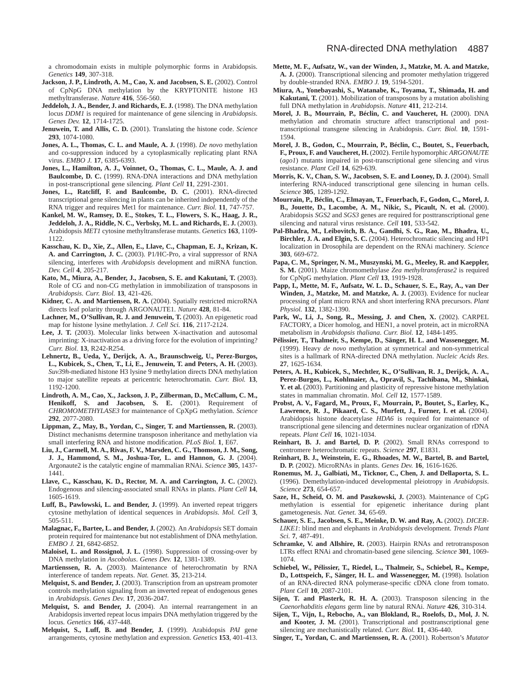a chromodomain exists in multiple polymorphic forms in Arabidopsis. *Genetics* **149**, 307-318.

- Jackson, J. P., Lindroth, A. M., Cao, X. and Jacobsen, S. E. (2002). Control of CpNpG DNA methylation by the KRYPTONITE histone H3 methyltransferase. *Nature* **416**, 556-560.
- **Jeddeloh, J. A., Bender, J. and Richards, E. J.** (1998). The DNA methylation locus *DDM1* is required for maintenance of gene silencing in *Arabidopsis*. *Genes Dev.* **12**, 1714-1725.
- **Jenuwein, T. and Allis, C. D.** (2001). Translating the histone code. *Science* **293**, 1074-1080.
- **Jones, A. L., Thomas, C. L. and Maule, A. J.** (1998). *De novo* methylation and co-suppression induced by a cytoplasmically replicating plant RNA virus. *EMBO J.* **17**, 6385-6393.
- **Jones, L., Hamilton, A. J., Voinnet, O., Thomas, C. L., Maule, A. J. and Baulcombe, D. C.** (1999). RNA-DNA interactions and DNA methylation in post-transcriptional gene silencing. *Plant Cell* **11**, 2291-2301.
- Jones, L., Ratcliff, F. and Baulcombe, D. C. (2001). RNA-directed transcriptional gene silencing in plants can be inherited independently of the RNA trigger and requires Met1 for maintenance. *Curr. Biol.* **11**, 747-757.
- **Kankel, M. W., Ramsey, D. E., Stokes, T. L., Flowers, S. K., Haag, J. R., Jeddeloh, J. A., Riddle, N. C., Verbsky, M. L. and Richards, E. J.** (2003). Arabidopsis *MET1* cytosine methyltransferase mutants. *Genetics* **163**, 1109- 1122.
- **Kasschau, K. D., Xie, Z., Allen, E., Llave, C., Chapman, E. J., Krizan, K. A. and Carrington, J. C.** (2003). P1/HC-Pro, a viral suppressor of RNA silencing, interferes with *Arabidopsis* development and miRNA function. *Dev. Cell* **4**, 205-217.
- **Kato, M., Miura, A., Bender, J., Jacobsen, S. E. and Kakutani, T.** (2003). Role of CG and non-CG methylation in immobilization of transposons in *Arabidopsis*. *Curr. Biol.* **13**, 421-426.
- **Kidner, C. A. and Martiensen, R. A.** (2004). Spatially restricted microRNA directs leaf polarity through ARGONAUTE1. *Nature* **428**, 81-84.
- Lachner, M., O'Sullivan, R. J. and Jenuwein, T. (2003). An epigenetic road map for histone lysine methylation. *J. Cell Sci.* **116**, 2117-2124.
- **Lee, J. T.** (2003). Molecular links between X-inactivation and autosomal imprinting: X-inactivation as a driving force for the evolution of imprinting? *Curr. Biol.* **13**, R242-R254.
- **Lehnertz, B., Ueda, Y., Derijck, A. A., Braunschweig, U., Perez-Burgos, L., Kubicek, S., Chen, T., Li, E., Jenuwein, T. and Peters, A. H.** (2003). *Suv39h*-mediated histone H3 lysine 9 methylation directs DNA methylation to major satellite repeats at pericentric heterochromatin. *Curr. Biol.* **13**, 1192-1200.
- **Lindroth, A. M., Cao, X., Jackson, J. P., Zilberman, D., McCallum, C. M.,** Henikoff, S. and Jacobsen, S. E. (2001). Requirement of *CHROMOMETHYLASE3* for maintenance of CpXpG methylation. *Science* **292**, 2077-2080.
- **Lippman, Z., May, B., Yordan, C., Singer, T. and Martienssen, R.** (2003). Distinct mechanisms determine transposon inheritance and methylation via small interfering RNA and histone modification. *PLoS Biol.* **1**, E67.
- **Liu, J., Carmell, M. A., Rivas, F. V., Marsden, C. G., Thomson, J. M., Song, J. J., Hammond, S. M., Joshua-Tor, L. and Hannon, G. J.** (2004). Argonaute2 is the catalytic engine of mammalian RNAi. *Science* **305**, 1437- 1441.
- **Llave, C., Kasschau, K. D., Rector, M. A. and Carrington, J. C.** (2002). Endogenous and silencing-associated small RNAs in plants. *Plant Cell* **14**, 1605-1619.
- Luff, B., Pawlowski, L. and Bender, J. (1999). An inverted repeat triggers cytosine methylation of identical sequences in *Arabidopsis*. *Mol. Cell* **3**, 505-511.
- **Malagnac, F., Bartee, L. and Bender, J.** (2002). An *Arabidopsis* SET domain protein required for maintenance but not establishment of DNA methylation. *EMBO J.* **21**, 6842-6852.
- **Maloisel, L. and Rossignol, J. L.** (1998). Suppression of crossing-over by DNA methylation in *Ascobolus*. *Genes Dev.* **12**, 1381-1389.
- **Martienssen, R. A.** (2003). Maintenance of heterochromatin by RNA interference of tandem repeats. *Nat. Genet.* **35**, 213-214.
- **Melquist, S. and Bender, J.** (2003). Transcription from an upstream promoter controls methylation signaling from an inverted repeat of endogenous genes in *Arabidopsis*. *Genes Dev.* **17**, 2036-2047.
- **Melquist, S. and Bender, J.** (2004). An internal rearrangement in an Arabidopsis inverted repeat locus impairs DNA methylation triggered by the locus. *Genetics* **166**, 437-448.
- **Melquist, S., Luff, B. and Bender, J.** (1999). Arabidopsis *PAI* gene arrangements, cytosine methylation and expression. *Genetics* **153**, 401-413.
- **Mette, M. F., Aufsatz, W., van der Winden, J., Matzke, M. A. and Matzke, A. J.** (2000). Transcriptional silencing and promoter methylation triggered by double-stranded RNA. *EMBO J.* **19**, 5194-5201.
- **Miura, A., Yonebayashi, S., Watanabe, K., Toyama, T., Shimada, H. and Kakutani, T.** (2001). Mobilization of transposons by a mutation abolishing full DNA methylation in *Arabidopsis*. *Nature* **411**, 212-214.
- **Morel, J. B., Mourrain, P., Béclin, C. and Vaucheret, H.** (2000). DNA methylation and chromatin structure affect transcriptional and posttranscriptional transgene silencing in Arabidopsis. *Curr. Biol.* **10**, 1591- 1594.
- **Morel, J. B., Godon, C., Mourrain, P., Béclin, C., Boutet, S., Feuerbach, F., Proux, F. and Vaucheret, H.** (2002). Fertile hypomorphic *ARGONAUTE* (*ago1*) mutants impaired in post-transcriptional gene silencing and virus resistance. *Plant Cell* **14**, 629-639.
- **Morris, K. V., Chan, S. W., Jacobsen, S. E. and Looney, D. J.** (2004). Small interfering RNA-induced transcriptional gene silencing in human cells. *Science* **305**, 1289-1292.
- **Mourrain, P., Béclin, C., Elmayan, T., Feuerbach, F., Godon, C., Morel, J. B., Jouette, D., Lacombe, A. M., Nikic, S., Picault, N. et al.** (2000). Arabidopsis *SGS2* and *SGS3* genes are required for posttranscriptional gene silencing and natural virus resistance. *Cell* **101**, 533-542.
- **Pal-Bhadra, M., Leibovitch, B. A., Gandhi, S. G., Rao, M., Bhadra, U., Birchler, J. A. and Elgin, S. C.** (2004). Heterochromatic silencing and HP1 localization in Drosophila are dependent on the RNAi machinery. *Science* **303**, 669-672.
- **Papa, C. M., Springer, N. M., Muszynski, M. G., Meeley, R. and Kaeppler, S. M.** (2001). Maize chromomethylase *Zea methyltransferase2* is required for CpNpG methylation. *Plant Cell* **13**, 1919-1928.
- **Papp, I., Mette, M. F., Aufsatz, W. L. D., Schauer, S. E., Ray, A., van Der Winden, J., Matzke, M. and Matzke, A. J.** (2003). Evidence for nuclear processing of plant micro RNA and short interfering RNA precursors. *Plant Physiol.* **132**, 1382-1390.
- **Park, W., Li, J., Song, R., Messing, J. and Chen, X.** (2002). CARPEL FACTORY, a Dicer homolog, and HEN1, a novel protein, act in microRNA metabolism in *Arabidopsis thaliana*. *Curr. Biol.* **12**, 1484-1495.
- **Pélissier, T., Thalmeir, S., Kempe, D., Sänger, H. L. and Wassenegger, M.** (1999). Heavy *de novo* methylation at symmetrical and non-symmetrical sites is a hallmark of RNA-directed DNA methylation. *Nucleic Acids Res.* **27**, 1625-1634.
- **Peters, A. H., Kubicek, S., Mechtler, K., O'Sullivan, R. J., Derijck, A. A., Perez-Burgos, L., Kohlmaier, A., Opravil, S., Tachibana, M., Shinkai, Y. et al.** (2003). Partitioning and plasticity of repressive histone methylation states in mammalian chromatin. *Mol. Cell* **12**, 1577-1589.
- **Probst, A. V., Fagard, M., Proux, F., Mourrain, P., Boutet, S., Earley, K., Lawrence, R. J., Pikaard, C. S., Murfett, J., Furner, I. et al.** (2004). Arabidopsis histone deacetylase *HDA6* is required for maintenance of transcriptional gene silencing and determines nuclear organization of rDNA repeats. *Plant Cell* **16**, 1021-1034.
- **Reinhart, B. J. and Bartel, D. P.** (2002). Small RNAs correspond to centromere heterochromatic repeats. *Science* **297**, E1831.
- **Reinhart, B. J., Weinstein, E. G., Rhoades, M. W., Bartel, B. and Bartel, D. P.** (2002). MicroRNAs in plants. *Genes Dev.* **16**, 1616-1626.
- **Ronemus, M. J., Galbiati, M., Ticknor, C., Chen, J. and Dellaporta, S. L.** (1996). Demethylation-induced developmental pleiotropy in *Arabidopsis*. *Science* **273**, 654-657.
- **Saze, H., Scheid, O. M. and Paszkowski, J.** (2003). Maintenance of CpG methylation is essential for epigenetic inheritance during plant gametogenesis. *Nat. Genet.* **34**, 65-69.
- **Schauer, S. E., Jacobsen, S. E., Meinke, D. W. and Ray, A.** (2002). *DICER-LIKE1*: blind men and elephants in *Arabidopsis* development. *Trends Plant Sci.* **7**, 487-491.
- Schramke, V. and Allshire, R. (2003). Hairpin RNAs and retrotransposon LTRs effect RNAi and chromatin-based gene silencing. *Science* **301**, 1069- 1074.
- **Schiebel, W., Pélissier, T., Riedel, L., Thalmeir, S., Schiebel, R., Kempe, D., Lottspeich, F., Sänger, H. L. and Wassenegger, M.** (1998). Isolation of an RNA-directed RNA polymerase-specific cDNA clone from tomato. *Plant Cell* **10**, 2087-2101.
- **Sijen, T. and Plasterk, R. H. A.** (2003). Transposon silencing in the *Caenorhabditis elegans* germ line by natural RNAi. *Nature* **426**, 310-314.
- **Sijen, T., Vijn, I., Rebocho, A., van Blokland, R., Roelofs, D., Mol, J. N.** and Kooter, J. M. (2001). Transcriptional and posttranscriptional gene silencing are mechanistically related. *Curr. Biol.* **11**, 436-440.
- **Singer, T., Yordan, C. and Martienssen, R. A.** (2001). Robertson's *Mutator*